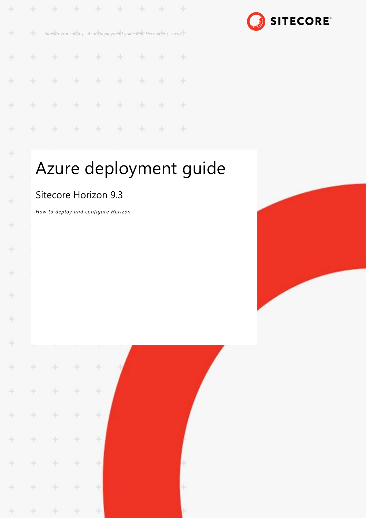| $\frac{1}{2}$ |       | .                                                                 |               |  |     |    |  |
|---------------|-------|-------------------------------------------------------------------|---------------|--|-----|----|--|
| Æ             | $+$ . | Sitecore Horizon 9.3 Azure deployment guide Rev: December 4, 2019 |               |  |     |    |  |
| $\frac{1}{2}$ | $+$   |                                                                   | + + + + + + + |  |     |    |  |
|               |       | .                                                                 |               |  |     |    |  |
| $+$           |       | + + + + + + + +                                                   |               |  |     |    |  |
| ÷             | $+ -$ |                                                                   | * * * * *     |  | 出 - | 86 |  |



# Azure deployment guide

## Sitecore Horizon 9.3

÷

÷

ł

*How to deploy and configure Horizon*



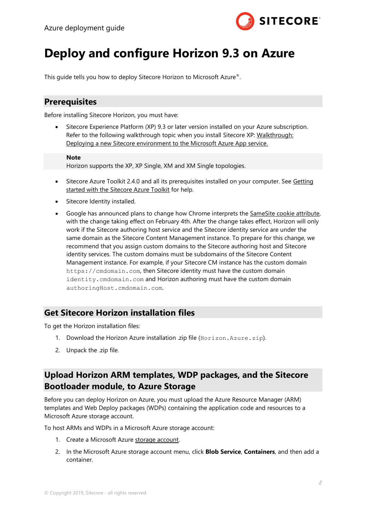

## **Deploy and configure Horizon 9.3 on Azure**

This guide tells you how to deploy Sitecore Horizon to Microsoft Azure®.

#### **Prerequisites**

Before installing Sitecore Horizon, you must have:

• Sitecore Experience Platform (XP) 9.3 or later version installed on your Azure subscription. Refer to the following walkthrough topic when you install Sitecore XP: Walkthrough: [Deploying a new Sitecore environment to the Microsoft Azure App service.](https://doc.sitecore.com/developers/93/sitecore-experience-management/en/walkthrough--deploying-a-new-sitecore-environment-to-the-microsoft-azure-app-service.html)

#### **Note**

Horizon supports the XP, XP Single, XM and XM Single topologies.

- Sitecore Azure Toolkit 2.4.0 and all its prerequisites installed on your computer. See Getting [started with the Sitecore Azure Toolkit](https://doc.sitecore.com/developers/sat/23/sitecore-azure-toolkit/en/getting-started-with-the-sitecore-azure-toolkit.html) for help.
- Sitecore Identity installed.
- Google has announced plans to change how Chrome interprets the [SameSite cookie attribute,](https://www.chromium.org/updates/same-site) with the change taking effect on February 4th. After the change takes effect, Horizon will only work if the Sitecore authoring host service and the Sitecore identity service are under the same domain as the Sitecore Content Management instance. To prepare for this change, we recommend that you assign custom domains to the Sitecore authoring host and Sitecore identity services. The custom domains must be subdomains of the Sitecore Content Management instance. For example, if your Sitecore CM instance has the custom domain [https://cmdomain.com](https://cmdomain.com/), then Sitecore identity must have the custom domain identity.cmdomain.com and Horizon authoring must have the custom domain authoringHost.cmdomain.com.

#### **Get Sitecore Horizon installation files**

To get the Horizon installation files:

- 1. Download the Horizon Azure installation .zip file (Horizon. Azure.zip).
- 2. Unpack the .zip file.

#### **Upload Horizon ARM templates, WDP packages, and the Sitecore Bootloader module, to Azure Storage**

Before you can deploy Horizon on Azure, you must upload the Azure Resource Manager (ARM) templates and Web Deploy packages (WDPs) containing the application code and resources to a Microsoft Azure storage account.

To host ARMs and WDPs in a Microsoft Azure storage account:

- 1. Create a Microsoft Azure [storage account.](https://docs.microsoft.com/en-us/azure/storage/common/storage-quickstart-create-account?tabs=portal)
- 2. In the Microsoft Azure storage account menu, click **Blob Service**, **Containers**, and then add a container.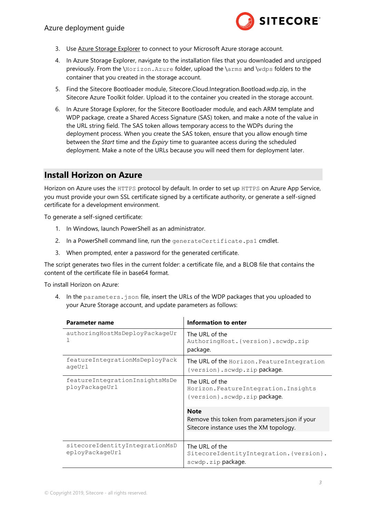

- 3. Use [Azure Storage Explorer](https://azure.microsoft.com/en-us/features/storage-explorer/) to connect to your Microsoft Azure storage account.
- 4. In Azure Storage Explorer, navigate to the installation files that you downloaded and unzipped previously. From the \Horizon.Azure folder, upload the \arms and \wdps folders to the container that you created in the storage account.
- 5. Find the Sitecore Bootloader module, Sitecore.Cloud.Integration.Bootload.wdp.zip, in the Sitecore Azure Toolkit folder. Upload it to the container you created in the storage account.
- 6. In Azure Storage Explorer, for the Sitecore Bootloader module, and each ARM template and WDP package, create a Shared Access Signature (SAS) token, and make a note of the value in the URL string field. The SAS token allows temporary access to the WDPs during the deployment process. When you create the SAS token, ensure that you allow enough time between the *Start* time and the *Expiry* time to guarantee access during the scheduled deployment. Make a note of the URLs because you will need them for deployment later.

#### **Install Horizon on Azure**

Horizon on Azure uses the HTTPS protocol by default. In order to set up HTTPS on Azure App Service, you must provide your own SSL certificate signed by a certificate authority, or generate a self-signed certificate for a development environment.

To generate a self-signed certificate:

- 1. In Windows, launch PowerShell as an administrator.
- 2. In a PowerShell command line, run the generateCertificate.ps1 cmdlet.
- 3. When prompted, enter a password for the generated certificate.

The script generates two files in the current folder: a certificate file, and a BLOB file that contains the content of the certificate file in base64 format.

To install Horizon on Azure:

4. In the parameters.json file, insert the URLs of the WDP packages that you uploaded to your Azure Storage account, and update parameters as follows:

| Parameter name                                    | Information to enter                                                                                     |  |  |
|---------------------------------------------------|----------------------------------------------------------------------------------------------------------|--|--|
| authoringHostMsDeployPackageUr                    | The URL of the<br>AuthoringHost. {version}.scwdp.zip<br>package.                                         |  |  |
| featureIntegrationMsDeployPack<br>ageUrl          | The URL of the Horizon. Feature Integration<br>{version}.scwdp.zip package.                              |  |  |
| featureIntegrationInsightsMsDe<br>ployPackageUrl  | The URL of the<br>Horizon. Feature Integration. Insights<br>{version}.scwdp.zip package.                 |  |  |
|                                                   | <b>Note</b><br>Remove this token from parameters.json if your<br>Sitecore instance uses the XM topology. |  |  |
| sitecoreIdentityIntegrationMsD<br>eployPackageUrl | The URL of the<br>SitecoreIdentityIntegration. {version}.<br>scwdp.zip package.                          |  |  |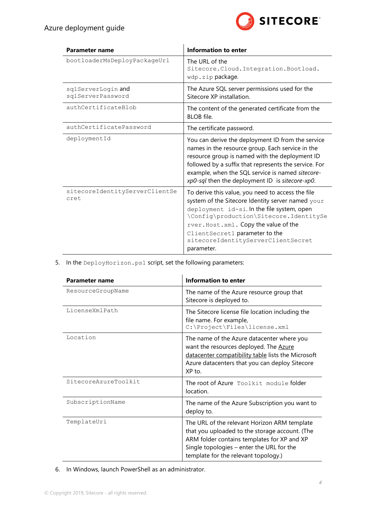

| Parameter name                          | Information to enter                                                                                                                                                                                                                                                                                                           |
|-----------------------------------------|--------------------------------------------------------------------------------------------------------------------------------------------------------------------------------------------------------------------------------------------------------------------------------------------------------------------------------|
| bootloaderMsDeployPackageUrl            | The URL of the<br>Sitecore. Cloud. Integration. Bootload.<br>wdp.zip package.                                                                                                                                                                                                                                                  |
| sqlServerLogin and<br>sqlServerPassword | The Azure SQL server permissions used for the<br>Sitecore XP installation.                                                                                                                                                                                                                                                     |
| authCertificateBlob                     | The content of the generated certificate from the<br>BLOB file.                                                                                                                                                                                                                                                                |
| authCertificatePassword                 | The certificate password.                                                                                                                                                                                                                                                                                                      |
| deploymentId                            | You can derive the deployment ID from the service<br>names in the resource group. Each service in the<br>resource group is named with the deployment ID<br>followed by a suffix that represents the service. For<br>example, when the SQL service is named sitecore-<br>xp0-sql then the deployment ID is sitecore-xp0.        |
| sitecoreIdentityServerClientSe<br>cret  | To derive this value, you need to access the file<br>system of the Sitecore Identity server named your<br>deployment id-si. In the file system, open<br>\Config\production\Sitecore.IdentitySe<br>rver. Host. xml. Copy the value of the<br>ClientSecret1 parameter to the<br>sitecoreIdentityServerClientSecret<br>parameter. |

5. In the DeployHorizon.ps1 script, set the following parameters:

| <b>Parameter name</b> | <b>Information to enter</b>                                                                                                                                                                                                        |  |  |
|-----------------------|------------------------------------------------------------------------------------------------------------------------------------------------------------------------------------------------------------------------------------|--|--|
| ResourceGroupName     | The name of the Azure resource group that<br>Sitecore is deployed to.                                                                                                                                                              |  |  |
| LicenseXmlPath        | The Sitecore license file location including the<br>file name. For example,<br>C:\Project\Files\license.xml                                                                                                                        |  |  |
| Location              | The name of the Azure datacenter where you<br>want the resources deployed. The Azure<br>datacenter compatibility table lists the Microsoft<br>Azure datacenters that you can deploy Sitecore<br>XP to.                             |  |  |
| SitecoreAzureToolkit  | The root of Azure Toolkit module folder<br>location.                                                                                                                                                                               |  |  |
| SubscriptionName      | The name of the Azure Subscription you want to<br>deploy to.                                                                                                                                                                       |  |  |
| TemplateUri           | The URL of the relevant Horizon ARM template<br>that you uploaded to the storage account. (The<br>ARM folder contains templates for XP and XP<br>Single topologies - enter the URL for the<br>template for the relevant topology.) |  |  |

6. In Windows, launch PowerShell as an administrator.